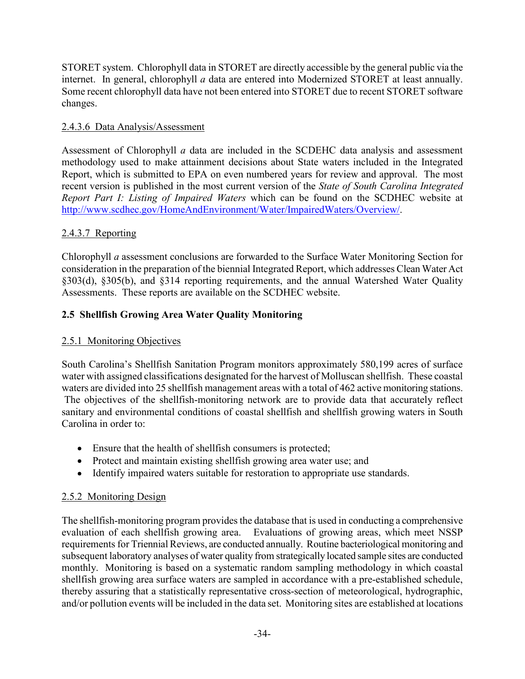STORET system. Chlorophyll data in STORET are directly accessible by the general public via the internet. In general, chlorophyll *a* data are entered into Modernized STORET at least annually. Some recent chlorophyll data have not been entered into STORET due to recent STORET software changes.

## 2.4.3.6 Data Analysis/Assessment

Assessment of Chlorophyll *a* data are included in the SCDEHC data analysis and assessment methodology used to make attainment decisions about State waters included in the Integrated Report, which is submitted to EPA on even numbered years for review and approval. The most recent version is published in the most current version of the *State of South Carolina Integrated Report Part I: Listing of Impaired Waters* which can be found on the SCDHEC website at http://www.scdhec.gov/HomeAndEnvironment/Water/ImpairedWaters/Overview/.

### 2.4.3.7 Reporting

Chlorophyll *a* assessment conclusions are forwarded to the Surface Water Monitoring Section for consideration in the preparation of the biennial Integrated Report, which addresses Clean Water Act §303(d), §305(b), and §314 reporting requirements, and the annual Watershed Water Quality Assessments. These reports are available on the SCDHEC website.

### 2.5 Shellfish Growing Area Water Quality Monitoring

#### 2.5.1 Monitoring Objectives

South Carolina's Shellfish Sanitation Program monitors approximately 580,199 acres of surface water with assigned classifications designated for the harvest of Molluscan shellfish. These coastal waters are divided into 25 shellfish management areas with a total of 462 active monitoring stations. The objectives of the shellfish-monitoring network are to provide data that accurately reflect sanitary and environmental conditions of coastal shellfish and shellfish growing waters in South Carolina in order to:

- Ensure that the health of shellfish consumers is protected;
- Protect and maintain existing shellfish growing area water use; and
- Identify impaired waters suitable for restoration to appropriate use standards.

#### 2.5.2 Monitoring Design

The shellfish-monitoring program provides the database that is used in conducting a comprehensive evaluation of each shellfish growing area. Evaluations of growing areas, which meet NSSP requirements for Triennial Reviews, are conducted annually. Routine bacteriological monitoring and subsequent laboratory analyses of water quality from strategically located sample sites are conducted monthly. Monitoring is based on a systematic random sampling methodology in which coastal shellfish growing area surface waters are sampled in accordance with a pre-established schedule, thereby assuring that a statistically representative cross-section of meteorological, hydrographic, and/or pollution events will be included in the data set. Monitoring sites are established at locations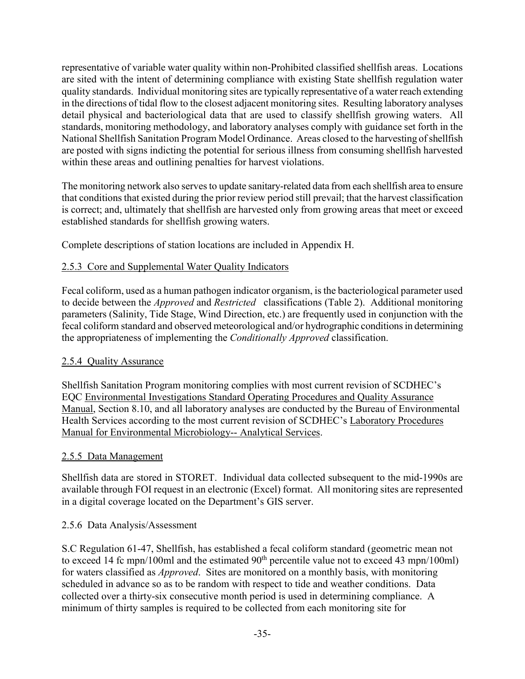representative of variable water quality within non-Prohibited classified shellfish areas. Locations are sited with the intent of determining compliance with existing State shellfish regulation water quality standards. Individual monitoring sites are typically representative of a water reach extending in the directions of tidal flow to the closest adjacent monitoring sites. Resulting laboratory analyses detail physical and bacteriological data that are used to classify shellfish growing waters. All standards, monitoring methodology, and laboratory analyses comply with guidance set forth in the National Shellfish Sanitation Program Model Ordinance. Areas closed to the harvesting of shellfish are posted with signs indicting the potential for serious illness from consuming shellfish harvested within these areas and outlining penalties for harvest violations.

The monitoring network also serves to update sanitary-related data from each shellfish area to ensure that conditions that existed during the prior review period still prevail; that the harvest classification is correct; and, ultimately that shellfish are harvested only from growing areas that meet or exceed established standards for shellfish growing waters.

Complete descriptions of station locations are included in Appendix H.

# 2.5.3 Core and Supplemental Water Quality Indicators

Fecal coliform, used as a human pathogen indicator organism, is the bacteriological parameter used to decide between the *Approved* and *Restricted* classifications (Table 2). Additional monitoring parameters (Salinity, Tide Stage, Wind Direction, etc.) are frequently used in conjunction with the fecal coliform standard and observed meteorological and/or hydrographic conditions in determining the appropriateness of implementing the *Conditionally Approved* classification.

## 2.5.4 Quality Assurance

Shellfish Sanitation Program monitoring complies with most current revision of SCDHEC's EQC Environmental Investigations Standard Operating Procedures and Quality Assurance Manual, Section 8.10, and all laboratory analyses are conducted by the Bureau of Environmental Health Services according to the most current revision of SCDHEC's Laboratory Procedures Manual for Environmental Microbiology-- Analytical Services.

#### 2.5.5 Data Management

Shellfish data are stored in STORET. Individual data collected subsequent to the mid-1990s are available through FOI request in an electronic (Excel) format. All monitoring sites are represented in a digital coverage located on the Department's GIS server.

#### 2.5.6 Data Analysis/Assessment

S.C Regulation 61-47, Shellfish, has established a fecal coliform standard (geometric mean not to exceed 14 fc mpn/100ml and the estimated  $90<sup>th</sup>$  percentile value not to exceed 43 mpn/100ml) for waters classified as *Approved*. Sites are monitored on a monthly basis, with monitoring scheduled in advance so as to be random with respect to tide and weather conditions. Data collected over a thirty-six consecutive month period is used in determining compliance. A minimum of thirty samples is required to be collected from each monitoring site for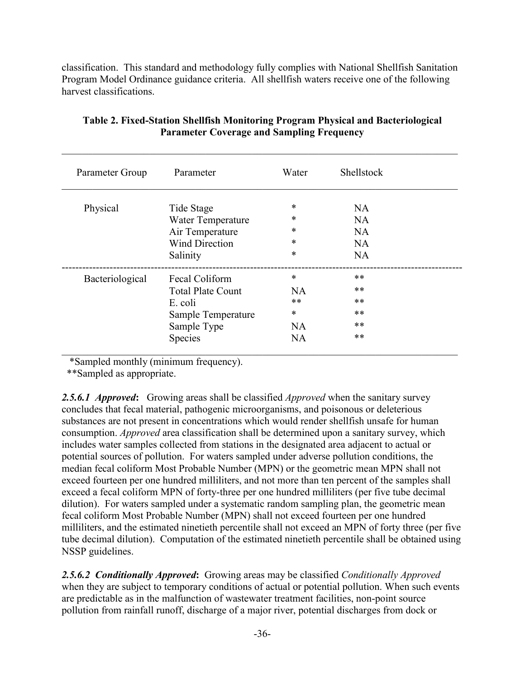classification. This standard and methodology fully complies with National Shellfish Sanitation Program Model Ordinance guidance criteria. All shellfish waters receive one of the following harvest classifications.

| Parameter Group | Parameter                | Water     | <b>Shellstock</b> |
|-----------------|--------------------------|-----------|-------------------|
| Physical        | Tide Stage               | *         | NA.               |
|                 | Water Temperature        | *         | <b>NA</b>         |
|                 | Air Temperature          | *         | <b>NA</b>         |
|                 | <b>Wind Direction</b>    | *         | <b>NA</b>         |
|                 | Salinity                 | *         | <b>NA</b>         |
| Bacteriological | Fecal Coliform           | *         | $***$             |
|                 | <b>Total Plate Count</b> | NA.       | $***$             |
|                 | E. coli                  | **        | $***$             |
|                 | Sample Temperature       | *         | $***$             |
|                 | Sample Type              | <b>NA</b> | $***$             |
|                 | Species                  | <b>NA</b> | $***$             |

### Table 2. Fixed-Station Shellfish Monitoring Program Physical and Bacteriological Parameter Coverage and Sampling Frequency

\*Sampled monthly (minimum frequency).

\*\*Sampled as appropriate.

*2.5.6.1 Approved*: Growing areas shall be classified *Approved* when the sanitary survey concludes that fecal material, pathogenic microorganisms, and poisonous or deleterious substances are not present in concentrations which would render shellfish unsafe for human consumption. *Approved* area classification shall be determined upon a sanitary survey, which includes water samples collected from stations in the designated area adjacent to actual or potential sources of pollution. For waters sampled under adverse pollution conditions, the median fecal coliform Most Probable Number (MPN) or the geometric mean MPN shall not exceed fourteen per one hundred milliliters, and not more than ten percent of the samples shall exceed a fecal coliform MPN of forty-three per one hundred milliliters (per five tube decimal dilution). For waters sampled under a systematic random sampling plan, the geometric mean fecal coliform Most Probable Number (MPN) shall not exceed fourteen per one hundred milliliters, and the estimated ninetieth percentile shall not exceed an MPN of forty three (per five tube decimal dilution). Computation of the estimated ninetieth percentile shall be obtained using NSSP guidelines.

*2.5.6.2 Conditionally Approved*: Growing areas may be classified *Conditionally Approved* when they are subject to temporary conditions of actual or potential pollution. When such events are predictable as in the malfunction of wastewater treatment facilities, non-point source pollution from rainfall runoff, discharge of a major river, potential discharges from dock or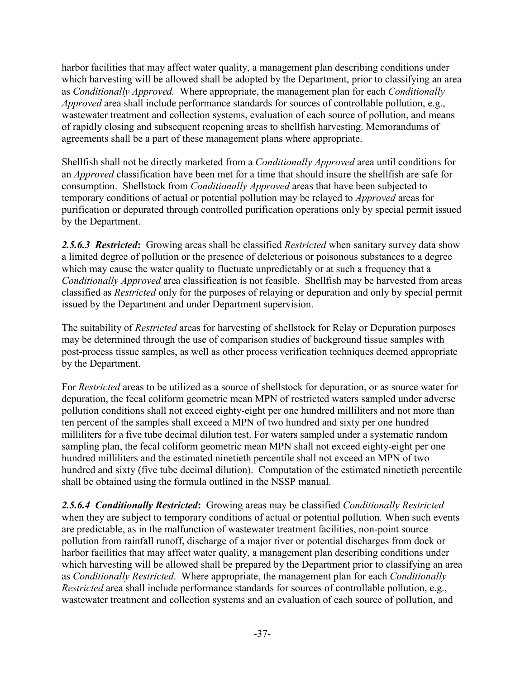harbor facilities that may affect water quality, a management plan describing conditions under which harvesting will be allowed shall be adopted by the Department, prior to classifying an area as *Conditionally Approved.* Where appropriate, the management plan for each *Conditionally Approved* area shall include performance standards for sources of controllable pollution, e.g., wastewater treatment and collection systems, evaluation of each source of pollution, and means of rapidly closing and subsequent reopening areas to shellfish harvesting. Memorandums of agreements shall be a part of these management plans where appropriate.

Shellfish shall not be directly marketed from a *Conditionally Approved* area until conditions for an *Approved* classification have been met for a time that should insure the shellfish are safe for consumption. Shellstock from *Conditionally Approved* areas that have been subjected to temporary conditions of actual or potential pollution may be relayed to *Approved* areas for purification or depurated through controlled purification operations only by special permit issued by the Department.

*2.5.6.3 Restricted*: Growing areas shall be classified *Restricted* when sanitary survey data show a limited degree of pollution or the presence of deleterious or poisonous substances to a degree which may cause the water quality to fluctuate unpredictably or at such a frequency that a *Conditionally Approved* area classification is not feasible. Shellfish may be harvested from areas classified as *Restricted* only for the purposes of relaying or depuration and only by special permit issued by the Department and under Department supervision.

The suitability of *Restricted* areas for harvesting of shellstock for Relay or Depuration purposes may be determined through the use of comparison studies of background tissue samples with post-process tissue samples, as well as other process verification techniques deemed appropriate by the Department.

For *Restricted* areas to be utilized as a source of shellstock for depuration, or as source water for depuration, the fecal coliform geometric mean MPN of restricted waters sampled under adverse pollution conditions shall not exceed eighty-eight per one hundred milliliters and not more than ten percent of the samples shall exceed a MPN of two hundred and sixty per one hundred milliliters for a five tube decimal dilution test. For waters sampled under a systematic random sampling plan, the fecal coliform geometric mean MPN shall not exceed eighty-eight per one hundred milliliters and the estimated ninetieth percentile shall not exceed an MPN of two hundred and sixty (five tube decimal dilution). Computation of the estimated ninetieth percentile shall be obtained using the formula outlined in the NSSP manual.

*2.5.6.4 Conditionally Restricted*: Growing areas may be classified *Conditionally Restricted* when they are subject to temporary conditions of actual or potential pollution. When such events are predictable, as in the malfunction of wastewater treatment facilities, non-point source pollution from rainfall runoff, discharge of a major river or potential discharges from dock or harbor facilities that may affect water quality, a management plan describing conditions under which harvesting will be allowed shall be prepared by the Department prior to classifying an area as *Conditionally Restricted*. Where appropriate, the management plan for each *Conditionally Restricted* area shall include performance standards for sources of controllable pollution, e.g., wastewater treatment and collection systems and an evaluation of each source of pollution, and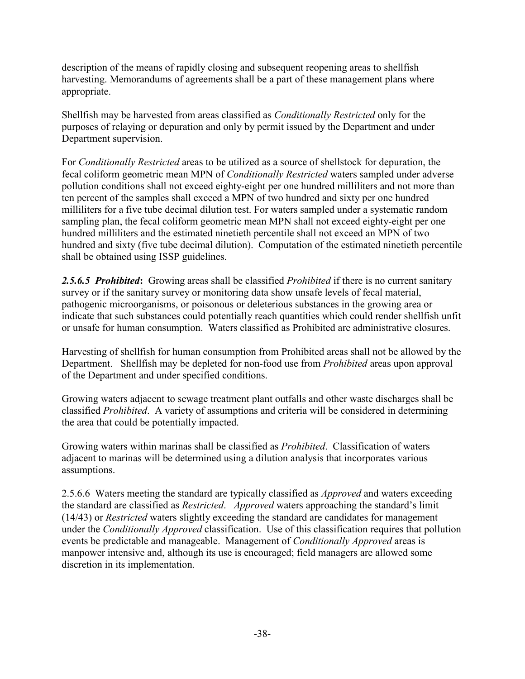description of the means of rapidly closing and subsequent reopening areas to shellfish harvesting. Memorandums of agreements shall be a part of these management plans where appropriate.

Shellfish may be harvested from areas classified as *Conditionally Restricted* only for the purposes of relaying or depuration and only by permit issued by the Department and under Department supervision.

For *Conditionally Restricted* areas to be utilized as a source of shellstock for depuration, the fecal coliform geometric mean MPN of *Conditionally Restricted* waters sampled under adverse pollution conditions shall not exceed eighty-eight per one hundred milliliters and not more than ten percent of the samples shall exceed a MPN of two hundred and sixty per one hundred milliliters for a five tube decimal dilution test. For waters sampled under a systematic random sampling plan, the fecal coliform geometric mean MPN shall not exceed eighty-eight per one hundred milliliters and the estimated ninetieth percentile shall not exceed an MPN of two hundred and sixty (five tube decimal dilution). Computation of the estimated ninetieth percentile shall be obtained using ISSP guidelines.

*2.5.6.5 Prohibited*: Growing areas shall be classified *Prohibited* if there is no current sanitary survey or if the sanitary survey or monitoring data show unsafe levels of fecal material, pathogenic microorganisms, or poisonous or deleterious substances in the growing area or indicate that such substances could potentially reach quantities which could render shellfish unfit or unsafe for human consumption. Waters classified as Prohibited are administrative closures.

Harvesting of shellfish for human consumption from Prohibited areas shall not be allowed by the Department. Shellfish may be depleted for non-food use from *Prohibited* areas upon approval of the Department and under specified conditions.

Growing waters adjacent to sewage treatment plant outfalls and other waste discharges shall be classified *Prohibited*. A variety of assumptions and criteria will be considered in determining the area that could be potentially impacted.

Growing waters within marinas shall be classified as *Prohibited*. Classification of waters adjacent to marinas will be determined using a dilution analysis that incorporates various assumptions.

2.5.6.6 Waters meeting the standard are typically classified as *Approved* and waters exceeding the standard are classified as *Restricted*. *Approved* waters approaching the standard's limit (14/43) or *Restricted* waters slightly exceeding the standard are candidates for management under the *Conditionally Approved* classification. Use of this classification requires that pollution events be predictable and manageable. Management of *Conditionally Approved* areas is manpower intensive and, although its use is encouraged; field managers are allowed some discretion in its implementation.